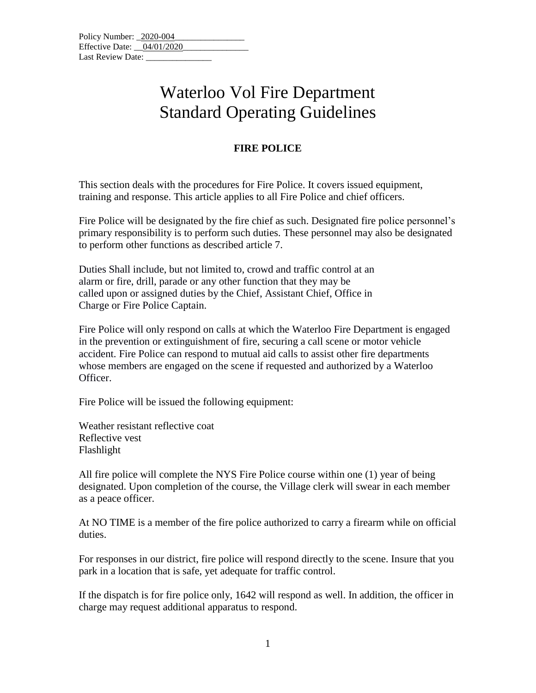## Waterloo Vol Fire Department Standard Operating Guidelines

## **FIRE POLICE**

This section deals with the procedures for Fire Police. It covers issued equipment, training and response. This article applies to all Fire Police and chief officers.

Fire Police will be designated by the fire chief as such. Designated fire police personnel's primary responsibility is to perform such duties. These personnel may also be designated to perform other functions as described article 7.

Duties Shall include, but not limited to, crowd and traffic control at an alarm or fire, drill, parade or any other function that they may be called upon or assigned duties by the Chief, Assistant Chief, Office in Charge or Fire Police Captain.

Fire Police will only respond on calls at which the Waterloo Fire Department is engaged in the prevention or extinguishment of fire, securing a call scene or motor vehicle accident. Fire Police can respond to mutual aid calls to assist other fire departments whose members are engaged on the scene if requested and authorized by a Waterloo Officer.

Fire Police will be issued the following equipment:

Weather resistant reflective coat Reflective vest Flashlight

All fire police will complete the NYS Fire Police course within one (1) year of being designated. Upon completion of the course, the Village clerk will swear in each member as a peace officer.

At NO TIME is a member of the fire police authorized to carry a firearm while on official duties.

For responses in our district, fire police will respond directly to the scene. Insure that you park in a location that is safe, yet adequate for traffic control.

If the dispatch is for fire police only, 1642 will respond as well. In addition, the officer in charge may request additional apparatus to respond.